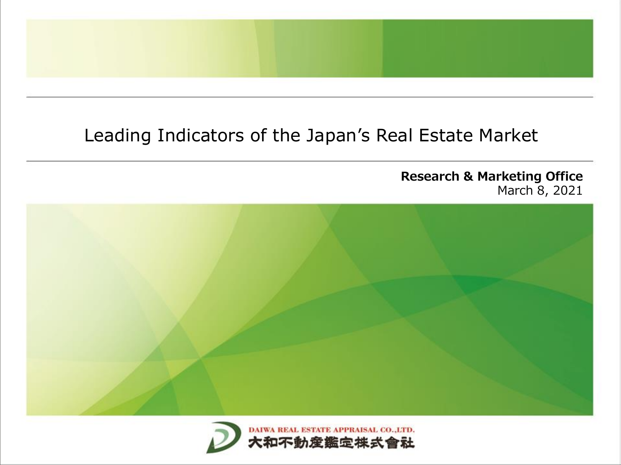## Leading Indicators of the Japan's Real Estate Market

**Research & Marketing Office** March 8, 2021



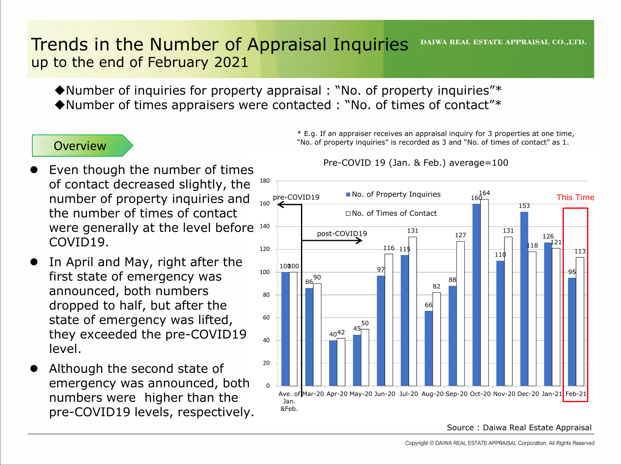#### Trends in the Number of Appraisal Inquiries **DAIWA REAL ESTATE APPRAISAL CO., LTD.** up to the end of February 2021

◆Number of inquiries for property appraisal : "No. of property inquiries"\* ◆Number of times appraisers were contacted : "No. of times of contact"\*

### **Overview**

- were generally at the level before 140 ⚫ Even though the number of times of contact decreased slightly, the number of property inquiries and the number of times of contact COVID19.
- In April and May, right after the first state of emergency was announced, both numbers dropped to half, but after the state of emergency was lifted, they exceeded the pre-COVID19 level.
- ⚫ Although the second state of emergency was announced, both numbers were higher than the pre-COVID19 levels, respectively.

\* E.g. If an appraiser receives an appraisal inquiry for 3 properties at one time, "No. of property inquiries" is recorded as 3 and "No. of times of contact" as 1.

Pre-COVID 19 (Jan. & Feb.) average=100



Source : Daiwa Real Estate Appraisal